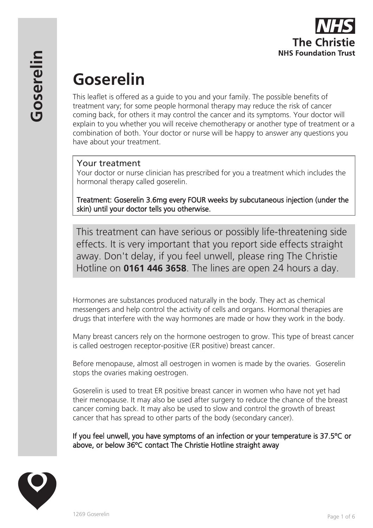

# **Goserelin**

This leaflet is offered as a guide to you and your family. The possible benefits of treatment vary; for some people hormonal therapy may reduce the risk of cancer coming back, for others it may control the cancer and its symptoms. Your doctor will explain to you whether you will receive chemotherapy or another type of treatment or a combination of both. Your doctor or nurse will be happy to answer any questions you have about your treatment.

## Your treatment

Your doctor or nurse clinician has prescribed for you a treatment which includes the hormonal therapy called goserelin.

Treatment: Goserelin 3.6mg every FOUR weeks by subcutaneous injection (under the skin) until your doctor tells you otherwise.

This treatment can have serious or possibly life-threatening side effects. It is very important that you report side effects straight away. Don't delay, if you feel unwell, please ring The Christie Hotline on **0161 446 3658**. The lines are open 24 hours a day.

Hormones are substances produced naturally in the body. They act as chemical messengers and help control the activity of cells and organs. Hormonal therapies are drugs that interfere with the way hormones are made or how they work in the body.

Many breast cancers rely on the hormone oestrogen to grow. This type of breast cancer is called oestrogen receptor-positive (ER positive) breast cancer.

Before menopause, almost all oestrogen in women is made by the ovaries. Goserelin stops the ovaries making oestrogen.

Goserelin is used to treat ER positive breast cancer in women who have not yet had their menopause. It may also be used after surgery to reduce the chance of the breast cancer coming back. It may also be used to slow and control the growth of breast cancer that has spread to other parts of the body (secondary cancer).

If you feel unwell, you have symptoms of an infection or your temperature is 37.5ºC or above, or below 36ºC contact The Christie Hotline straight away

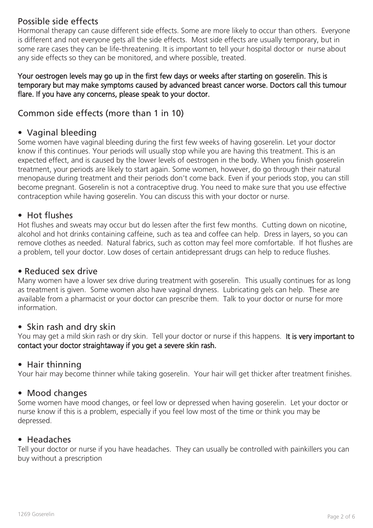# Possible side effects

Hormonal therapy can cause different side effects. Some are more likely to occur than others. Everyone is different and not everyone gets all the side effects. Most side effects are usually temporary, but in some rare cases they can be life-threatening. It is important to tell your hospital doctor or nurse about any side effects so they can be monitored, and where possible, treated.

#### Your oestrogen levels may go up in the first few days or weeks after starting on goserelin. This is temporary but may make symptoms caused by advanced breast cancer worse. Doctors call this tumour flare. If you have any concerns, please speak to your doctor.

# Common side effects (more than 1 in 10)

## • Vaginal bleeding

Some women have vaginal bleeding during the first few weeks of having goserelin. Let your doctor know if this continues. Your periods will usually stop while you are having this treatment. This is an expected effect, and is caused by the lower levels of oestrogen in the body. When you finish goserelin treatment, your periods are likely to start again. Some women, however, do go through their natural menopause during treatment and their periods don't come back. Even if your periods stop, you can still become pregnant. Goserelin is not a contraceptive drug. You need to make sure that you use effective contraception while having goserelin. You can discuss this with your doctor or nurse.

## • Hot flushes

Hot flushes and sweats may occur but do lessen after the first few months. Cutting down on nicotine, alcohol and hot drinks containing caffeine, such as tea and coffee can help. Dress in layers, so you can remove clothes as needed. Natural fabrics, such as cotton may feel more comfortable. If hot flushes are a problem, tell your doctor. Low doses of certain antidepressant drugs can help to reduce flushes.

## • Reduced sex drive

Many women have a lower sex drive during treatment with goserelin. This usually continues for as long as treatment is given. Some women also have vaginal dryness. Lubricating gels can help. These are available from a pharmacist or your doctor can prescribe them. Talk to your doctor or nurse for more information.

## • Skin rash and dry skin

You may get a mild skin rash or dry skin. Tell your doctor or nurse if this happens. It is very important to contact your doctor straightaway if you get a severe skin rash.

## • Hair thinning

Your hair may become thinner while taking goserelin. Your hair will get thicker after treatment finishes.

## • Mood changes

Some women have mood changes, or feel low or depressed when having goserelin. Let your doctor or nurse know if this is a problem, especially if you feel low most of the time or think you may be depressed.

#### • Headaches

Tell your doctor or nurse if you have headaches. They can usually be controlled with painkillers you can buy without a prescription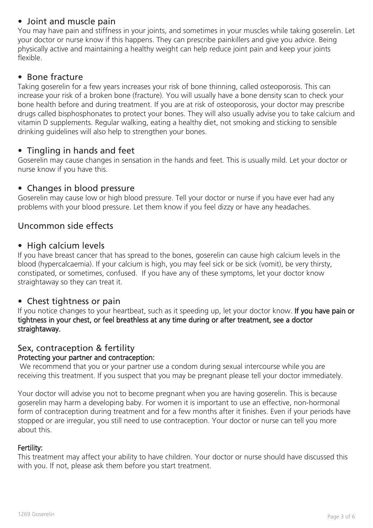# • Joint and muscle pain

You may have pain and stiffness in your joints, and sometimes in your muscles while taking goserelin. Let your doctor or nurse know if this happens. They can prescribe painkillers and give you advice. Being physically active and maintaining a healthy weight can help reduce joint pain and keep your joints flexible.

## • Bone fracture

Taking goserelin for a few years increases your risk of bone thinning, called osteoporosis. This can increase your risk of a broken bone (fracture). You will usually have a bone density scan to check your bone health before and during treatment. If you are at risk of osteoporosis, your doctor may prescribe drugs called bisphosphonates to protect your bones. They will also usually advise you to take calcium and vitamin D supplements. Regular walking, eating a healthy diet, not smoking and sticking to sensible drinking guidelines will also help to strengthen your bones.

# • Tingling in hands and feet

Goserelin may cause changes in sensation in the hands and feet. This is usually mild. Let your doctor or nurse know if you have this.

## • Changes in blood pressure

Goserelin may cause low or high blood pressure. Tell your doctor or nurse if you have ever had any problems with your blood pressure. Let them know if you feel dizzy or have any headaches.

# Uncommon side effects

### • High calcium levels

If you have breast cancer that has spread to the bones, goserelin can cause high calcium levels in the blood (hypercalcaemia). If your calcium is high, you may feel sick or be sick (vomit), be very thirsty, constipated, or sometimes, confused. If you have any of these symptoms, let your doctor know straightaway so they can treat it.

## • Chest tightness or pain

If you notice changes to your heartbeat, such as it speeding up, let your doctor know. If you have pain or tightness in your chest, or feel breathless at any time during or after treatment, see a doctor straightaway.

#### Sex, contraception & fertility Protecting your partner and contraception:

 We recommend that you or your partner use a condom during sexual intercourse while you are receiving this treatment. If you suspect that you may be pregnant please tell your doctor immediately.

Your doctor will advise you not to become pregnant when you are having goserelin. This is because goserelin may harm a developing baby. For women it is important to use an effective, non-hormonal form of contraception during treatment and for a few months after it finishes. Even if your periods have stopped or are irregular, you still need to use contraception. Your doctor or nurse can tell you more about this.

#### Fertility:

This treatment may affect your ability to have children. Your doctor or nurse should have discussed this with you. If not, please ask them before you start treatment.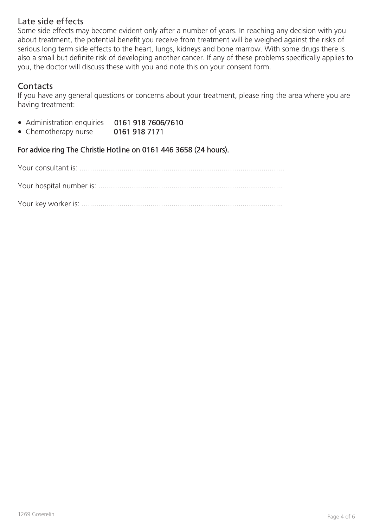## Late side effects

Some side effects may become evident only after a number of years. In reaching any decision with you about treatment, the potential benefit you receive from treatment will be weighed against the risks of serious long term side effects to the heart, lungs, kidneys and bone marrow. With some drugs there is also a small but definite risk of developing another cancer. If any of these problems specifically applies to you, the doctor will discuss these with you and note this on your consent form.

# **Contacts**

If you have any general questions or concerns about your treatment, please ring the area where you are having treatment:

- Administration enquiries 0161 918 7606/7610
- Chemotherapy nurse 0161 918 7171

For advice ring The Christie Hotline on 0161 446 3658 (24 hours).

Your consultant is: ..................................................................................................

Your hospital number is: ........................................................................................

Your key worker is: ................................................................................................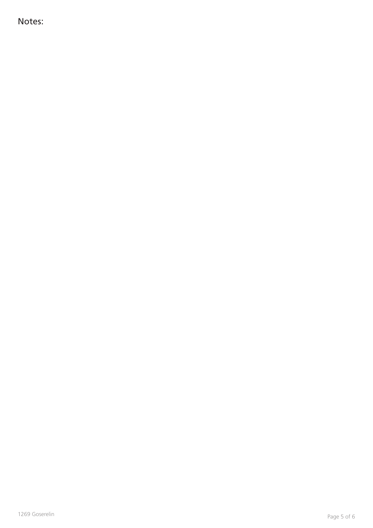Notes: